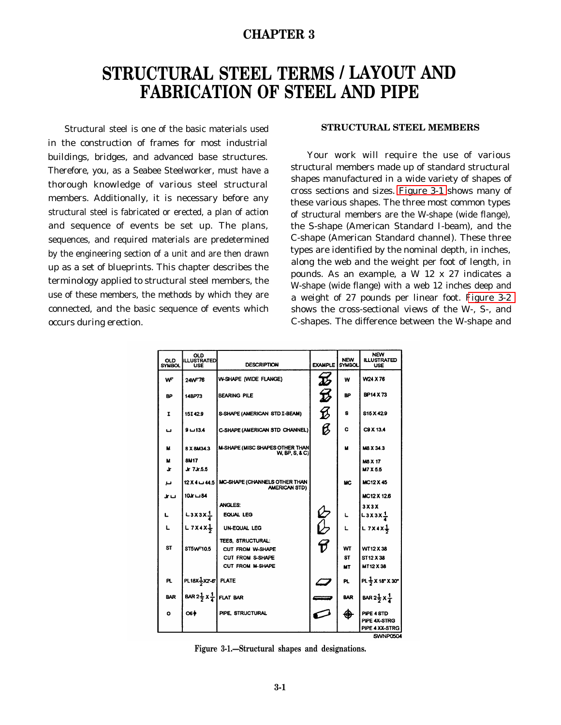# **CHAPTER 3**

# **STRUCTURAL STEEL TERMS / LAYOUT AND FABRICATION OF STEEL AND PIPE**

Structural steel is one of the basic materials used in the construction of frames for most industrial buildings, bridges, and advanced base structures. Therefore, you, as a Seabee Steelworker, must have a thorough knowledge of various steel structural members. Additionally, it is necessary before any structural steel is fabricated or erected, a plan of action and sequence of events be set up. The plans, sequences, and required materials are predetermined by the engineering section of a unit and are then drawn up as a set of blueprints. This chapter describes the terminology applied to structural steel members, the use of these members, the methods by which they are connected, and the basic sequence of events which occurs during erection.

# **STRUCTURAL STEEL MEMBERS**

Your work will require the use of various structural members made up of standard structural shapes manufactured in a wide variety of shapes of cross sections and sizes. Figure 3-1 shows many of these various shapes. The three most common types of structural members are the W-shape (wide flange), the S-shape (American Standard I-beam), and the C-shape (American Standard channel). These three types are identified by the nominal depth, in inches, along the web and the weight per foot of length, in pounds. As an example, a W 12 x 27 indicates a W-shape (wide flange) with a web 12 inches deep and a weight of 27 pounds per linear foot. [Figure 3-2](#page-1-0) shows the cross-sectional views of the W-, S-, and C-shapes. The difference between the W-shape and

| OLD<br><b>SYMBOL</b> | OLD<br>ILLUSTRATED<br>USE                   | <b>DESCRIPTION</b>                                           | <b>EXAMPLE SYMBOL</b>      |           | <b>NEW</b><br><b>ILLUSTRATED</b><br><b>USE</b>           |  |
|----------------------|---------------------------------------------|--------------------------------------------------------------|----------------------------|-----------|----------------------------------------------------------|--|
| WF                   | 24MF76                                      | W-SHAPE (WIDE FLANGE)                                        | $\vec{\bm{v}}$             | w         | W24 X 76                                                 |  |
| <b>BP</b>            | <b>148P73</b>                               | <b>BEARING PILE</b>                                          | $\mathcal B$               | ВP        | BP 14 X 73                                               |  |
| I                    | 15142.9                                     | S-SHAPE (AMERICAN STD I-BEAM)                                | $\cal{Z}$                  | s         | S15 X 429                                                |  |
| ٮ                    | $9 - 13.4$                                  | C-SHAPE (AMERICAN STD CHANNEL)                               | B                          | c         | C9 X 13.4                                                |  |
| м                    | 8 X 8M34.3                                  | M-SHAPE (MISC SHAPES OTHER THAN<br><b>W. BP. S. &amp; C)</b> |                            | М         | M8 X 34.3                                                |  |
| м                    | <b>8M17</b>                                 |                                                              |                            |           | M8 X 17                                                  |  |
| Jr.                  | Jr 7Jr.5.5                                  |                                                              |                            |           | M7 X 5.5                                                 |  |
| ىم                   | 12 X 4 L 44.5                               | MC-SHAPE (CHANNELS OTHER THAN<br><b>AMERICAN STD)</b>        |                            | MС        | MC12 X 45                                                |  |
| ب ال                 | $10$ dr $-84$                               |                                                              |                            |           | MC12 X 12.6                                              |  |
|                      |                                             | <b>ANGLES:</b>                                               |                            |           | 3X3X                                                     |  |
| L                    | L3X3X                                       | EQUAL LEG                                                    |                            |           | $L3X3X$ <sup>1</sup>                                     |  |
| L                    | L7X4X                                       | UN-EQUAL LEG                                                 | r<br>D                     | L         | L7X4X                                                    |  |
| ST                   | ST5WF10.5                                   | <b>TEES. STRUCTURAL:</b><br>CUT FROM W-SHAPE                 | $\bm{\theta}$              | wт        | WT12 X 38                                                |  |
|                      |                                             | <b>CUT FROM S-SHAPE</b>                                      |                            | <b>ST</b> | ST12 X 38                                                |  |
|                      |                                             | CUT FROM M-SHAPE                                             |                            |           |                                                          |  |
|                      |                                             |                                                              |                            | МT        | MT12 X 38                                                |  |
| PL.                  | $PL18X + 2Z - 5$ PLATE                      |                                                              | $\boldsymbol{\mathcal{D}}$ | PL.       | PL + X 18" X 30"                                         |  |
| BAR                  | BAR $2\frac{1}{2}$ X $\frac{1}{4}$ FLAT BAR |                                                              |                            | BAR       | BAR $2\frac{1}{2}$ X $\frac{1}{4}$                       |  |
| ٥                    | O6♦                                         | PIPE. STRUCTURAL                                             |                            | ⊕         | PIPE 4 STD<br>PIPE 4X-STRG<br>PIPE 4 XX-STRG<br>SWNP0504 |  |

**Figure 3-1.—Structural shapes and designations.**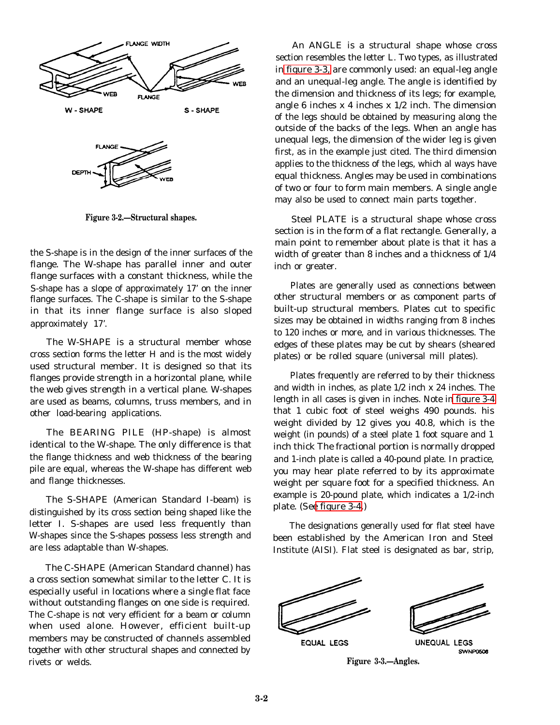<span id="page-1-0"></span>

**Figure 3-2.—Structural shapes.**

the S-shape is in the design of the inner surfaces of the flange. The W-shape has parallel inner and outer flange surfaces with a constant thickness, while the S-shape has a slope of approximately 17' on the inner flange surfaces. The C-shape is similar to the S-shape in that its inner flange surface is also sloped approximately 17'.

The W-SHAPE is a structural member whose cross section forms the letter H and is the most widely used structural member. It is designed so that its flanges provide strength in a horizontal plane, while the web gives strength in a vertical plane. W-shapes are used as beams, columns, truss members, and in other load-bearing applications.

The BEARING PILE (HP-shape) is almost identical to the W-shape. The only difference is that the flange thickness and web thickness of the bearing pile are equal, whereas the W-shape has different web and flange thicknesses.

The S-SHAPE (American Standard I-beam) is distinguished by its cross section being shaped like the letter I. S-shapes are used less frequently than W-shapes since the S-shapes possess less strength and are less adaptable than W-shapes.

The C-SHAPE (American Standard channel) has a cross section somewhat similar to the letter C. It is especially useful in locations where a single flat face without outstanding flanges on one side is required. The C-shape is not very efficient for a beam or column when used alone. However, efficient built-up members may be constructed of channels assembled together with other structural shapes and connected by rivets or welds.

An ANGLE is a structural shape whose cross section resembles the letter L. Two types, as illustrated in figure 3-3, are commonly used: an equal-leg angle and an unequal-leg angle. The angle is identified by the dimension and thickness of its legs; for example, angle 6 inches x 4 inches x 1/2 inch. The dimension of the legs should be obtained by measuring along the outside of the backs of the legs. When an angle has unequal legs, the dimension of the wider leg is given first, as in the example just cited. The third dimension applies to the thickness of the legs, which al ways have equal thickness. Angles may be used in combinations of two or four to form main members. A single angle may also be used to connect main parts together.

Steel PLATE is a structural shape whose cross section is in the form of a flat rectangle. Generally, a main point to remember about plate is that it has a width of greater than 8 inches and a thickness of 1/4 inch or greater.

Plates are generally used as connections between other structural members or as component parts of built-up structural members. Plates cut to specific sizes may be obtained in widths ranging from 8 inches to 120 inches or more, and in various thicknesses. The edges of these plates may be cut by shears (sheared plates) or be rolled square (universal mill plates).

Plates frequently are referred to by their thickness and width in inches, as plate 1/2 inch x 24 inches. The length in all cases is given in inches. Note i[n figure 3-4](#page-2-0) that 1 cubic foot of steel weighs 490 pounds. his weight divided by 12 gives you 40.8, which is the weight (in pounds) of a steel plate 1 foot square and 1 inch thick The fractional portion is normally dropped and 1-inch plate is called a 40-pound plate. In practice, you may hear plate referred to by its approximate weight per square foot for a specified thickness. An example is 20-pound plate, which indicates a 1/2-inch plate. (Se[e figure 3-4.](#page-2-0))

The designations generally used for flat steel have been established by the American Iron and Steel Institute (AISI). Flat steel is designated as bar, strip,



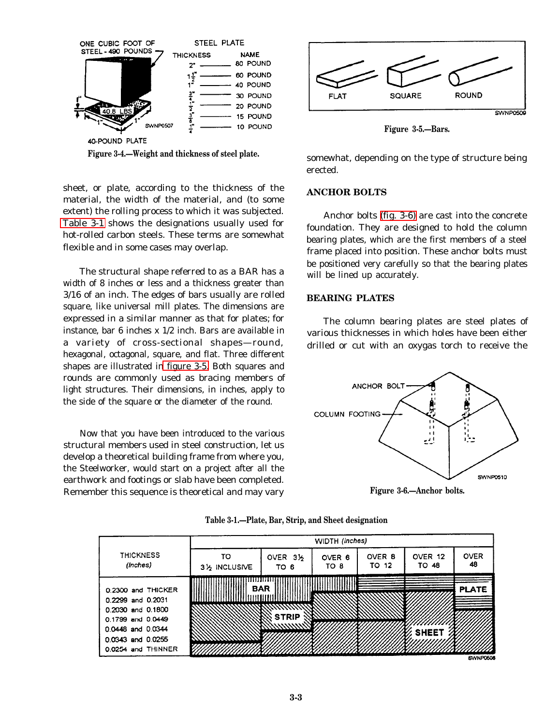<span id="page-2-0"></span>

**Figure 3-4.—Weight and thickness of steel plate.**

sheet, or plate, according to the thickness of the material, the width of the material, and (to some extent) the rolling process to which it was subjected. Table 3-1 shows the designations usually used for hot-rolled carbon steels. These terms are somewhat flexible and in some cases may overlap.

The structural shape referred to as a BAR has a width of 8 inches or less and a thickness greater than 3/16 of an inch. The edges of bars usually are rolled square, like universal mill plates. The dimensions are expressed in a similar manner as that for plates; for instance, bar 6 inches x 1/2 inch. Bars are available in a variety of cross-sectional shapes—round, hexagonal, octagonal, square, and flat. Three different shapes are illustrated in figure 3-5. Both squares and rounds are commonly used as bracing members of light structures. Their dimensions, in inches, apply to the side of the square or the diameter of the round.

Now that you have been introduced to the various structural members used in steel construction, let us develop a theoretical building frame from where you, the Steelworker, would start on a project after all the earthwork and footings or slab have been completed. Remember this sequence is theoretical and may vary



somewhat, depending on the type of structure being erected.

# **ANCHOR BOLTS**

Anchor bolts (fig. 3-6) are cast into the concrete foundation. They are designed to hold the column bearing plates, which are the first members of a steel frame placed into position. These anchor bolts must be positioned very carefully so that the bearing plates will be lined up accurately.

# **BEARING PLATES**

The column bearing plates are steel plates of various thicknesses in which holes have been either drilled or cut with an oxygas torch to receive the



**Figure 3-6.—Anchor bolts.**

|                                                             | WIDTH (Inches)     |                          |                           |                 |                  |                   |  |
|-------------------------------------------------------------|--------------------|--------------------------|---------------------------|-----------------|------------------|-------------------|--|
| <b>THICKNESS</b><br>(Inches)                                | то<br>3% INCLUSIVE | OVER 31/2<br>TO 6        | OVER <sub>8</sub><br>TO 8 | OVER 8<br>TO 12 | OVER 12<br>TO 48 | <b>OVER</b><br>48 |  |
| 0.2300 and THICKER<br>0.2299 and 0.2031                     |                    | <b>BAR</b>               |                           |                 |                  | <b>PLATE</b>      |  |
| 0.2030 and 0.1800<br>0.1799 and 0.0449<br>0.0448 and 0.0344 |                    | <b>STRIP</b><br>,,,,,,,, |                           |                 |                  |                   |  |
| 0.0343 and 0.0255<br>0.0254 and THINNER                     |                    |                          |                           |                 | <b>SHEET</b>     |                   |  |

# **Table 3-1.—Plate, Bar, Strip, and Sheet designation**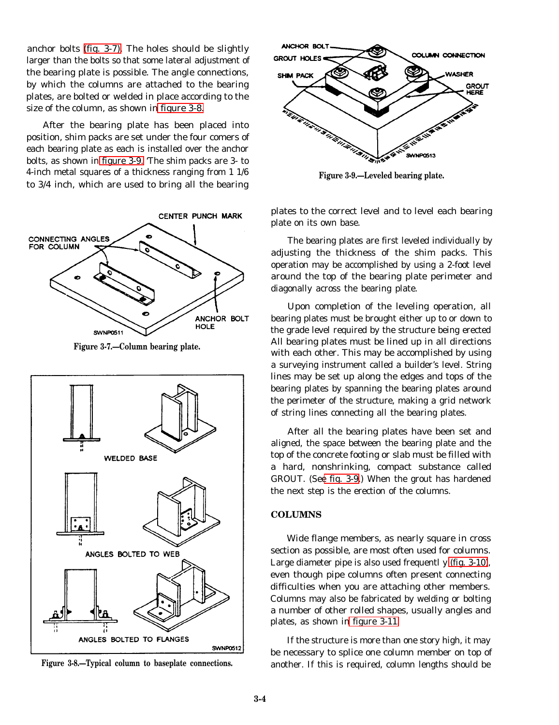anchor bolts (fig. 3-7). The holes should be slightly larger than the bolts so that some lateral adjustment of the bearing plate is possible. The angle connections, by which the columns are attached to the bearing plates, are bolted or welded in place according to the size of the column, as shown in figure 3-8.

After the bearing plate has been placed into position, shim packs are set under the four comers of each bearing plate as each is installed over the anchor bolts, as shown in figure 3-9. 'The shim packs are 3- to 4-inch metal squares of a thickness ranging from 1 1/6 to 3/4 inch, which are used to bring all the bearing



**Figure 3-7.—Column bearing plate.**



**Figure 3-8.—Typical column to baseplate connections.**



**Figure 3-9.—Leveled bearing plate.**

plates to the correct level and to level each bearing plate on its own base.

The bearing plates are first leveled individually by adjusting the thickness of the shim packs. This operation may be accomplished by using a 2-foot level around the top of the bearing plate perimeter and diagonally across the bearing plate.

Upon completion of the leveling operation, all bearing plates must be brought either up to or down to the grade level required by the structure being erected All bearing plates must be lined up in all directions with each other. This may be accomplished by using a surveying instrument called a builder's level. String lines may be set up along the edges and tops of the bearing plates by spanning the bearing plates around the perimeter of the structure, making a grid network of string lines connecting all the bearing plates.

After all the bearing plates have been set and aligned, the space between the bearing plate and the top of the concrete footing or slab must be filled with a hard, nonshrinking, compact substance called GROUT. (See fig. 3-9.) When the grout has hardened the next step is the erection of the columns.

# **COLUMNS**

Wide flange members, as nearly square in cross section as possible, are most often used for columns. Large diameter pipe is also used frequentl y [\(fig. 3-10\)](#page-4-0), even though pipe columns often present connecting difficulties when you are attaching other members. Columns may also be fabricated by welding or bolting a number of other rolled shapes, usually angles and plates, as shown i[n figure 3-11.](#page-4-0)

If the structure is more than one story high, it may be necessary to splice one column member on top of another. If this is required, column lengths should be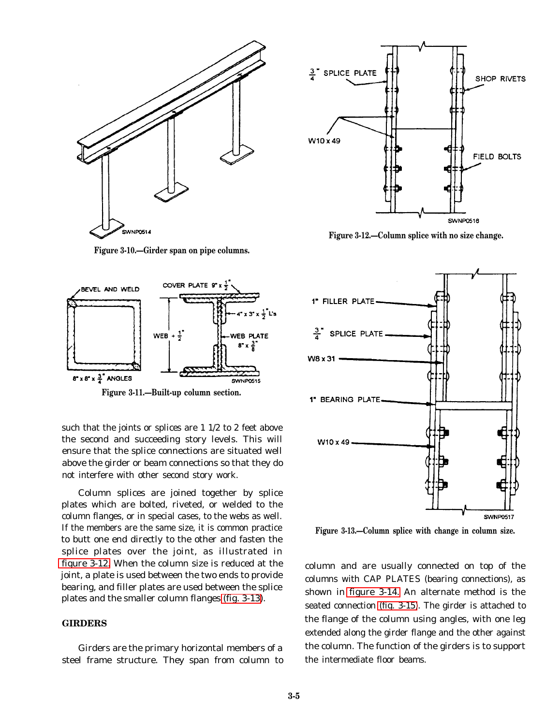<span id="page-4-0"></span>

**Figure 3-10.—Girder span on pipe columns.**



such that the joints or splices are 1 1/2 to 2 feet above the second and succeeding story levels. This will ensure that the splice connections are situated well above the girder or beam connections so that they do not interfere with other second story work.

Column splices are joined together by splice plates which are bolted, riveted, or welded to the column flanges, or in special cases, to the webs as well. If the members are the same size, it is common practice to butt one end directly to the other and fasten the splice plates over the joint, as illustrated in figure 3-12. When the column size is reduced at the joint, a plate is used between the two ends to provide bearing, and filler plates are used between the splice plates and the smaller column flanges (fig. 3-13).

#### **GIRDERS**

Girders are the primary horizontal members of a steel frame structure. They span from column to



**Figure 3-12.—Column splice with no size change.**



**Figure 3-13.—Column splice with change in column size.**

column and are usually connected on top of the columns with CAP PLATES (bearing connections), as shown in [figure 3-14.](#page-5-0) An alternate method is the seated connection [\(fig. 3-15\)](#page-5-0). The girder is attached to the flange of the column using angles, with one leg extended along the girder flange and the other against the column. The function of the girders is to support the intermediate floor beams.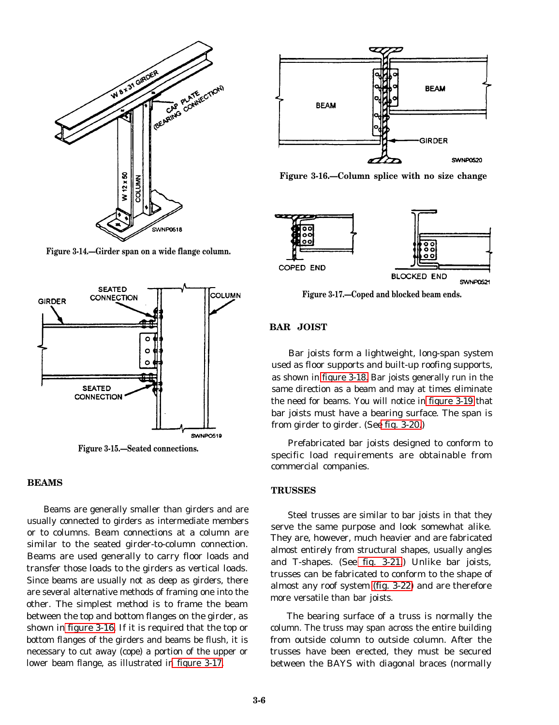<span id="page-5-0"></span>

**Figure 3-14.—Girder span on a wide flange column.**



**Figure 3-15.—Seated connections.**

#### **BEAMS**

Beams are generally smaller than girders and are usually connected to girders as intermediate members or to columns. Beam connections at a column are similar to the seated girder-to-column connection. Beams are used generally to carry floor loads and transfer those loads to the girders as vertical loads. Since beams are usually not as deep as girders, there are several alternative methods of framing one into the other. The simplest method is to frame the beam between the top and bottom flanges on the girder, as shown in figure 3-16. If it is required that the top or bottom flanges of the girders and beams be flush, it is necessary to cut away (cope) a portion of the upper or lower beam flange, as illustrated in figure 3-17.



**Figure 3-16.—Column splice with no size change**



**Figure 3-17.—Coped and blocked beam ends.**

# **BAR JOIST**

Bar joists form a lightweight, long-span system used as floor supports and built-up roofing supports, as shown in [figure 3-18.](#page-6-0) Bar joists generally run in the same direction as a beam and may at times eliminate the need for beams. You will notice in [figure 3-19](#page-6-0) that bar joists must have a bearing surface. The span is from girder to girder. (Se[e fig. 3-20.](#page-7-0))

Prefabricated bar joists designed to conform to specific load requirements are obtainable from commercial companies.

#### **TRUSSES**

Steel trusses are similar to bar joists in that they serve the same purpose and look somewhat alike. They are, however, much heavier and are fabricated almost entirely from structural shapes, usually angles and T-shapes. (See [fig. 3-21.](#page-7-0)) Unlike bar joists, trusses can be fabricated to conform to the shape of almost any roof system [\(fig. 3-22\)](#page-8-0) and are therefore more versatile than bar joists.

The bearing surface of a truss is normally the column. The truss may span across the entire building from outside column to outside column. After the trusses have been erected, they must be secured between the BAYS with diagonal braces (normally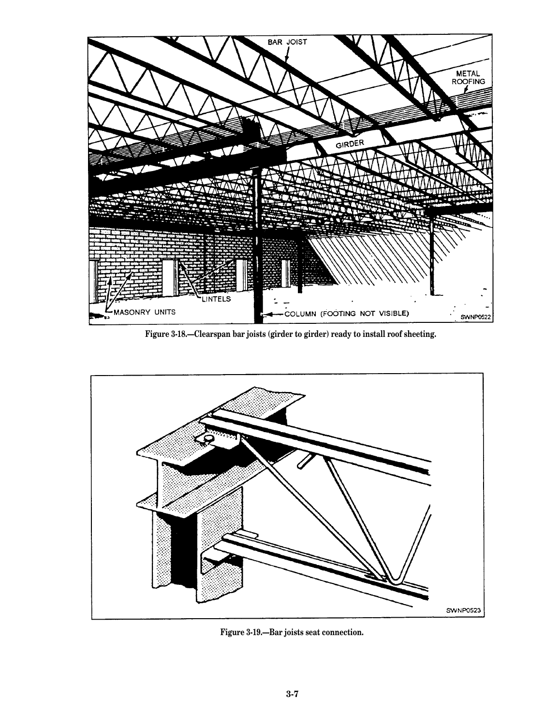<span id="page-6-0"></span>

**Figure 3-18.—Clearspan bar joists (girder to girder) ready to install roof sheeting.**



**Figure 3-19.—Bar joists seat connection.**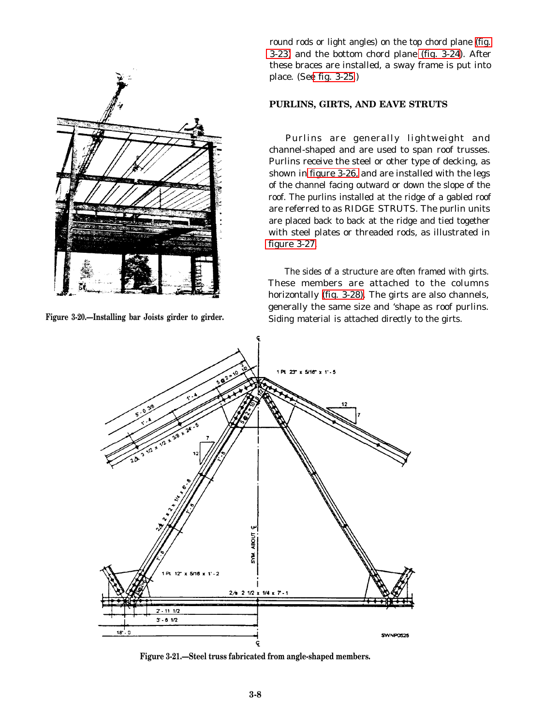<span id="page-7-0"></span>

round rods or light angles) on the top chord plane [\(fig.](#page-8-0) [3-23\)](#page-8-0) and the bottom chord plane [\(fig. 3-24\)](#page-8-0). After these braces are installed, a sway frame is put into place. (Se[e fig. 3-25.](#page-8-0))

# **PURLINS, GIRTS, AND EAVE STRUTS**

Purlins are generally lightweight and channel-shaped and are used to span roof trusses. Purlins receive the steel or other type of decking, as shown in [figure 3-26,](#page-8-0) and are installed with the legs of the channel facing outward or down the slope of the roof. The purlins installed at the ridge of a gabled roof are referred to as RIDGE STRUTS. The purlin units are placed back to back at the ridge and tied together with steel plates or threaded rods, as illustrated in [figure 3-27.](#page-8-0)

The sides of a structure are often framed with girts. These members are attached to the columns horizontally [\(fig. 3-28\).](#page-8-0) The girts are also channels, generally the same size and 'shape as roof purlins. Figure 3-20.—Installing bar Joists girder to girder. Siding material is attached directly to the girts.



**Figure 3-21.—Steel truss fabricated from angle-shaped members.**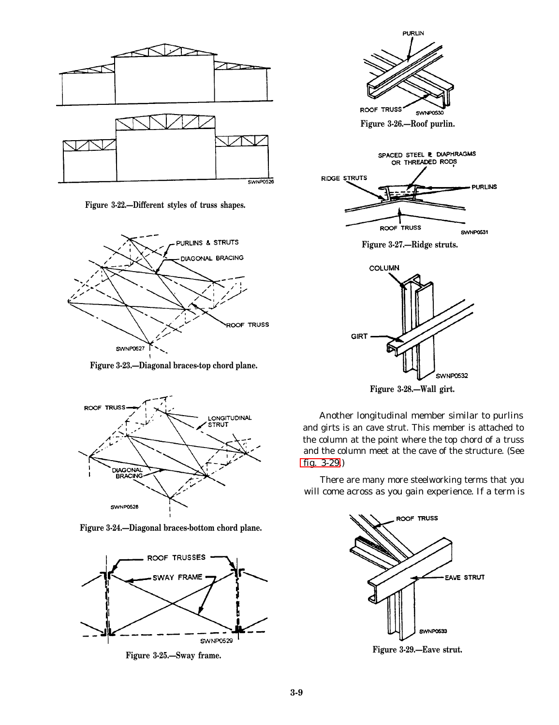<span id="page-8-0"></span>

**Figure 3-22.—Different styles of truss shapes.**



**Figure 3-23.—Diagonal braces-top chord plane.**



**Figure 3-24.—Diagonal braces-bottom chord plane.**





**Figure 3-28.—Wall girt.**

**SWNP0532** 

Another longitudinal member similar to purlins and girts is an cave strut. This member is attached to the column at the point where the top chord of a truss and the column meet at the cave of the structure. (See fig. 3-29.)

There are many more steelworking terms that you will come across as you gain experience. If a term is

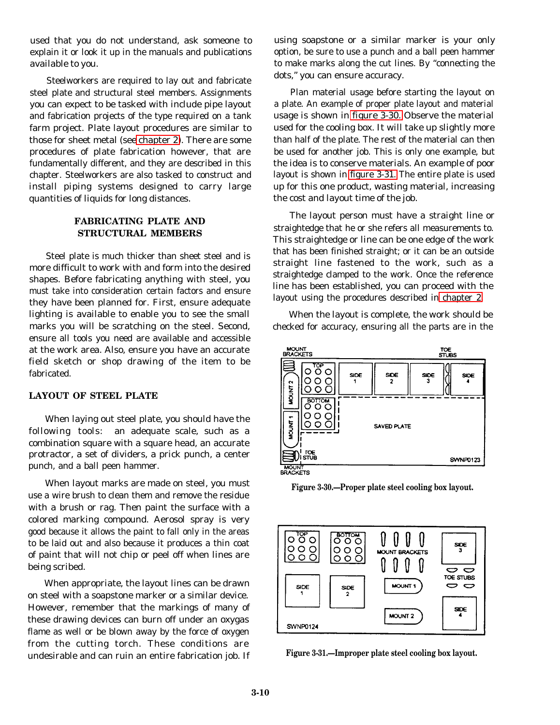used that you do not understand, ask someone to explain it or look it up in the manuals and publications available to you.

Steelworkers are required to lay out and fabricate steel plate and structural steel members. Assignments you can expect to be tasked with include pipe layout and fabrication projects of the type required on a tank farm project. Plate layout procedures are similar to those for sheet metal (see chapter 2). There are some procedures of plate fabrication however, that are fundamentally different, and they are described in this chapter. Steelworkers are also tasked to construct and install piping systems designed to carry large quantities of liquids for long distances.

# **FABRICATING PLATE AND STRUCTURAL MEMBERS**

Steel plate is much thicker than sheet steel and is more difficult to work with and form into the desired shapes. Before fabricating anything with steel, you must take into consideration certain factors and ensure they have been planned for. First, ensure adequate lighting is available to enable you to see the small marks you will be scratching on the steel. Second, ensure all tools you need are available and accessible at the work area. Also, ensure you have an accurate field sketch or shop drawing of the item to be fabricated.

# **LAYOUT OF STEEL PLATE**

When laying out steel plate, you should have the following tools: an adequate scale, such as a combination square with a square head, an accurate protractor, a set of dividers, a prick punch, a center punch, and a ball peen hammer.

When layout marks are made on steel, you must use a wire brush to clean them and remove the residue with a brush or rag. Then paint the surface with a colored marking compound. Aerosol spray is very good because it allows the paint to fall only in the areas to be laid out and also because it produces a thin coat of paint that will not chip or peel off when lines are being scribed.

When appropriate, the layout lines can be drawn on steel with a soapstone marker or a similar device. However, remember that the markings of many of these drawing devices can burn off under an oxygas flame as well or be blown away by the force of oxygen from the cutting torch. These conditions are undesirable and can ruin an entire fabrication job. If

using soapstone or a similar marker is your only option, be sure to use a punch and a ball peen hammer to make marks along the cut lines. By "connecting the dots," you can ensure accuracy.

Plan material usage before starting the layout on a plate. An example of proper plate layout and material usage is shown in figure 3-30. Observe the material used for the cooling box. It will take up slightly more than half of the plate. The rest of the material can then be used for another job. This is only one example, but the idea is to conserve materials. An example of poor layout is shown in figure 3-31. The entire plate is used up for this one product, wasting material, increasing the cost and layout time of the job.

The layout person must have a straight line or straightedge that he or she refers all measurements to. This straightedge or line can be one edge of the work that has been finished straight; or it can be an outside straight line fastened to the work, such as a straightedge clamped to the work. Once the reference line has been established, you can proceed with the layout using the procedures described in chapter 2.

When the layout is complete, the work should be checked for accuracy, ensuring all the parts are in the



**Figure 3-30.—Proper plate steel cooling box layout.**



**Figure 3-31.—Improper plate steel cooling box layout.**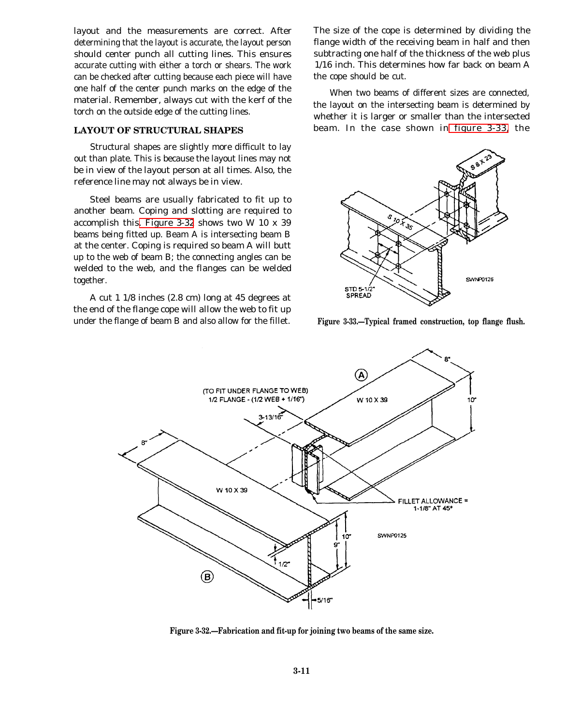layout and the measurements are correct. After determining that the layout is accurate, the layout person should center punch all cutting lines. This ensures accurate cutting with either a torch or shears. The work can be checked after cutting because each piece will have one half of the center punch marks on the edge of the material. Remember, always cut with the kerf of the torch on the outside edge of the cutting lines.

### **LAYOUT OF STRUCTURAL SHAPES**

Structural shapes are slightly more difficult to lay out than plate. This is because the layout lines may not be in view of the layout person at all times. Also, the reference line may not always be in view.

Steel beams are usually fabricated to fit up to another beam. Coping and slotting are required to accomplish this. Figure 3-32 shows two W 10 x 39 beams being fitted up. Beam A is intersecting beam B at the center. Coping is required so beam A will butt up to the web of beam B; the connecting angles can be welded to the web, and the flanges can be welded together.

A cut 1 1/8 inches (2.8 cm) long at 45 degrees at the end of the flange cope will allow the web to fit up under the flange of beam B and also allow for the fillet.

The size of the cope is determined by dividing the flange width of the receiving beam in half and then subtracting one half of the thickness of the web plus 1/16 inch. This determines how far back on beam A the cope should be cut.

When two beams of different sizes are connected, the layout on the intersecting beam is determined by whether it is larger or smaller than the intersected beam. In the case shown in figure 3-33, the



**Figure 3-33.—Typical framed construction, top flange flush.**



**Figure 3-32.—Fabrication and fit-up for joining two beams of the same size.**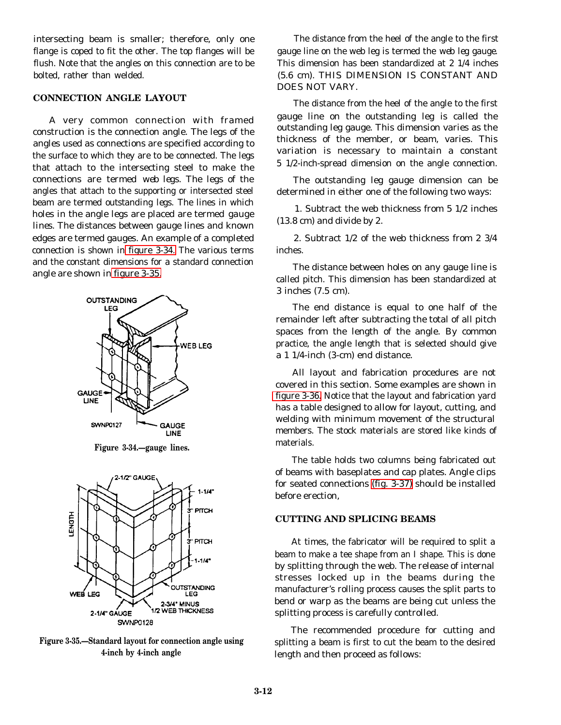intersecting beam is smaller; therefore, only one flange is coped to fit the other. The top flanges will be flush. Note that the angles on this connection are to be bolted, rather than welded.

# **CONNECTION ANGLE LAYOUT**

A very common connection with framed construction is the connection angle. The legs of the angles used as connections are specified according to the surface to which they are to be connected. The legs that attach to the intersecting steel to make the connections are termed *web legs.* The legs of the angles that attach to the supporting or intersected steel beam are termed *outstanding legs.* The lines in which holes in the angle legs are placed are termed *gauge lines.* The distances between gauge lines and known edges are termed gauges. An example of a completed connection is shown in figure 3-34. The various terms and the constant dimensions for a standard connection angle are shown in figure 3-35.



**Figure 3-34.—gauge lines.**



**Figure 3-35.—Standard layout for connection angle using 4-inch by 4-inch angle**

The distance from the heel of the angle to the first gauge line on the web leg is termed the *web leg gauge.* This dimension has been standardized at 2 1/4 inches (5.6 cm). THIS DIMENSION IS CONSTANT AND DOES NOT VARY.

The distance from the heel of the angle to the first gauge line on the outstanding leg is called the outstanding leg gauge. This dimension varies as the thickness of the member, or beam, varies. This variation is necessary to maintain a constant 5 1/2-inch-spread dimension on the angle connection.

The outstanding leg gauge dimension can be determined in either one of the following two ways:

1. Subtract the web thickness from 5 1/2 inches (13.8 cm) and divide by 2.

2. Subtract 1/2 of the web thickness from 2 3/4 inches.

The distance between holes on any gauge line is called pitch. This dimension has been standardized at 3 inches (7.5 cm).

The end distance is equal to one half of the remainder left after subtracting the total of all pitch spaces from the length of the angle. By common practice, the angle length that is selected should give a 1 1/4-inch (3-cm) end distance.

All layout and fabrication procedures are not covered in this section. Some examples are shown in [figure 3-36.](#page-12-0) Notice that the layout and fabrication yard has a table designed to allow for layout, cutting, and welding with minimum movement of the structural members. The stock materials are stored like kinds of materials.

The table holds two columns being fabricated out of beams with baseplates and cap plates. Angle clips for seated connections [\(fig. 3-37\)](#page-12-0) should be installed before erection,

#### **CUTTING AND SPLICING BEAMS**

At times, the fabricator will be required to split a beam to make a tee shape from an I shape. This is done by splitting through the web. The release of internal stresses locked up in the beams during the manufacturer's rolling process causes the split parts to bend or warp as the beams are being cut unless the splitting process is carefully controlled.

The recommended procedure for cutting and splitting a beam is first to cut the beam to the desired length and then proceed as follows: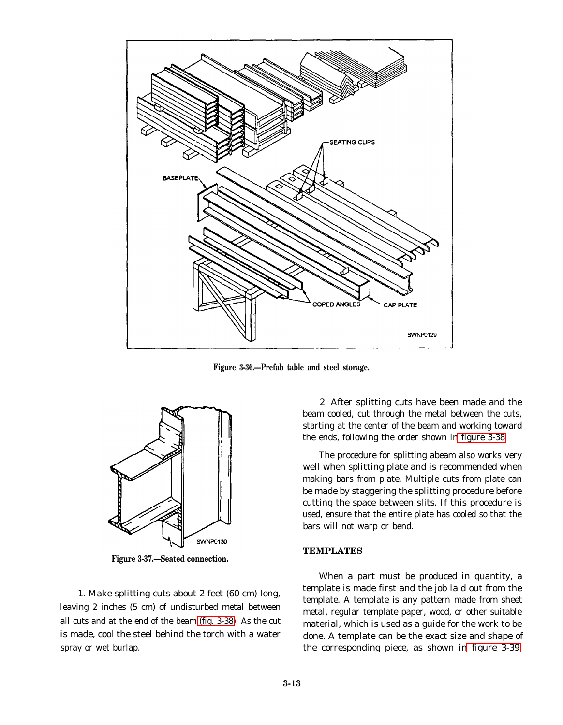<span id="page-12-0"></span>

**Figure 3-36.—Prefab table and steel storage.**



**Figure 3-37.—Seated connection.**

1. Make splitting cuts about 2 feet (60 cm) long, leaving 2 inches (5 cm) of undisturbed metal between all cuts and at the end of the beam [\(fig. 3-38\)](#page-13-0). As the cut is made, cool the steel behind the torch with a water spray or wet burlap.

2. After splitting cuts have been made and the beam cooled, cut through the metal between the cuts, starting at the center of the beam and working toward the ends, following the order shown i[n figure 3-38.](#page-13-0)

The procedure for splitting abeam also works very well when splitting plate and is recommended when making bars from plate. Multiple cuts from plate can be made by staggering the splitting procedure before cutting the space between slits. If this procedure is used, ensure that the entire plate has cooled so that the bars will not warp or bend.

#### **TEMPLATES**

When a part must be produced in quantity, a template is made first and the job laid out from the template. A template is any pattern made from sheet metal, regular template paper, wood, or other suitable material, which is used as a guide for the work to be done. A template can be the exact size and shape of the corresponding piece, as shown i[n figure 3-39,](#page-14-0)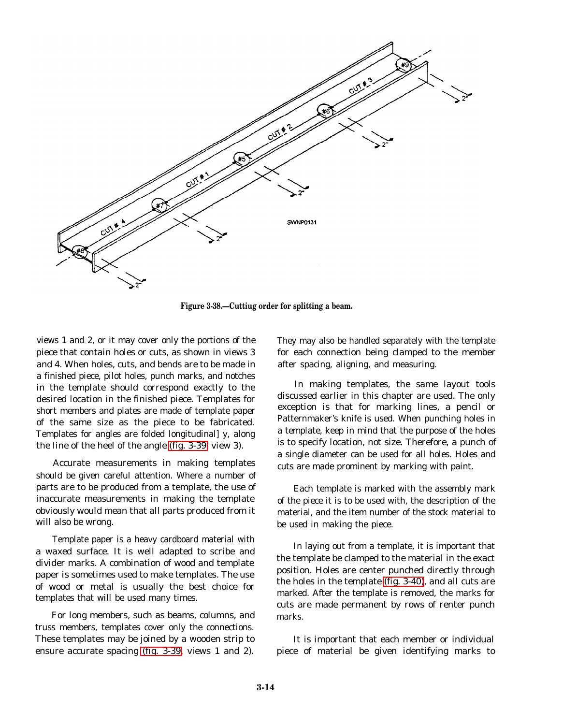<span id="page-13-0"></span>

**Figure 3-38.—Cuttiug order for splitting a beam.**

views 1 and 2, or it may cover only the portions of the piece that contain holes or cuts, as shown in views 3 and 4. When holes, cuts, and bends are to be made in a finished piece, pilot holes, punch marks, and notches in the template should correspond exactly to the desired location in the finished piece. Templates for short members and plates are made of template paper of the same size as the piece to be fabricated. Templates for angles are folded longitudinal] y, along the line of the heel of the angle [\(fig. 3-39,](#page-14-0) view 3).

Accurate measurements in making templates should be given careful attention. Where a number of parts are to be produced from a template, the use of inaccurate measurements in making the template obviously would mean that all parts produced from it will also be wrong.

Template paper is a heavy cardboard material with a waxed surface. It is well adapted to scribe and divider marks. A combination of wood and template paper is sometimes used to make templates. The use of wood or metal is usually the best choice for templates that will be used many times.

For long members, such as beams, columns, and truss members, templates cover only the connections. These templates may be joined by a wooden strip to ensure accurate spacing [\(fig. 3-39,](#page-14-0) views 1 and 2).

They may also be handled separately with the template for each connection being clamped to the member after spacing, aligning, and measuring.

In making templates, the same layout tools discussed earlier in this chapter are used. The only exception is that for marking lines, a pencil or Patternmaker's knife is used. When punching holes in a template, keep in mind that the purpose of the holes is to specify location, not size. Therefore, a punch of a single diameter can be used for all holes. Holes and cuts are made prominent by marking with paint.

Each template is marked with the assembly mark of the piece it is to be used with, the description of the material, and the item number of the stock material to be used in making the piece.

In laying out from a template, it is important that the template be clamped to the material in the exact position. Holes are center punched directly through the holes in the template [\(fig. 3-40\)](#page-14-0), and all cuts are marked. After the template is removed, the marks for cuts are made permanent by rows of renter punch marks.

It is important that each member or individual piece of material be given identifying marks to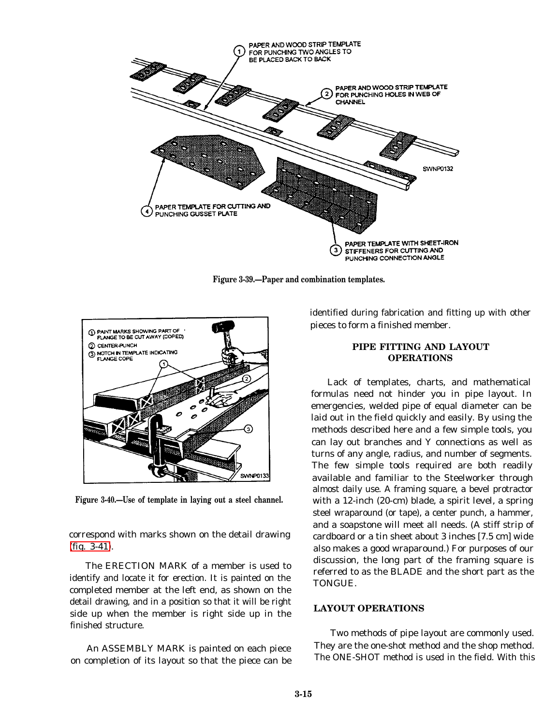<span id="page-14-0"></span>

**Figure 3-39.—Paper and combination templates.**



**Figure 3-40.—Use of template in laying out a steel channel.**

correspond with marks shown on the detail drawing [\(fig. 3-41\)](#page-15-0).

The ERECTION MARK of a member is used to identify and locate it for erection. It is painted on the completed member at the left end, as shown on the detail drawing, and in a position so that it will be right side up when the member is right side up in the finished structure.

An ASSEMBLY MARK is painted on each piece on completion of its layout so that the piece can be identified during fabrication and fitting up with other pieces to form a finished member.

# **PIPE FITTING AND LAYOUT OPERATIONS**

Lack of templates, charts, and mathematical formulas need not hinder you in pipe layout. In emergencies, welded pipe of equal diameter can be laid out in the field quickly and easily. By using the methods described here and a few simple tools, you can lay out branches and Y connections as well as turns of any angle, radius, and number of segments. The few simple tools required are both readily available and familiar to the Steelworker through almost daily use. A framing square, a bevel protractor with a 12-inch (20-cm) blade, a spirit level, a spring steel wraparound (or tape), a center punch, a hammer, and a soapstone will meet all needs. (A stiff strip of cardboard or a tin sheet about 3 inches [7.5 cm] wide also makes a good wraparound.) For purposes of our discussion, the long part of the framing square is referred to as the BLADE and the short part as the TONGUE.

# **LAYOUT OPERATIONS**

Two methods of pipe layout are commonly used. They are the one-shot method and the shop method. The ONE-SHOT method is used in the field. With this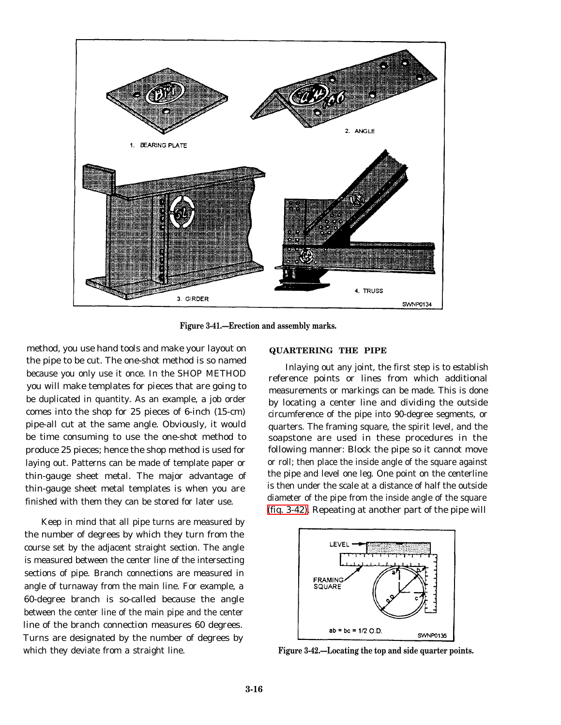<span id="page-15-0"></span>

**Figure 3-41.—Erection and assembly marks.**

method, you use hand tools and make your layout on **QUARTERING THE PIPE** the pipe to be cut. The one-shot method is so named because you only use it once. In the SHOP METHOD you will make templates for pieces that are going to be duplicated in quantity. As an example, a job order comes into the shop for 25 pieces of 6-inch (15-cm) pipe-all cut at the same angle. Obviously, it would be time consuming to use the one-shot method to produce 25 pieces; hence the shop method is used for laying out. Patterns can be made of template paper or thin-gauge sheet metal. The major advantage of thin-gauge sheet metal templates is when you are finished with them they can be stored for later use.

Keep in mind that all pipe turns are measured by the number of degrees by which they turn from the course set by the adjacent straight section. The angle is measured between the center line of the intersecting sections of pipe. Branch connections are measured in angle of turnaway from the main line. For example, a 60-degree branch is so-called because the angle between the center line of the main pipe and the center line of the branch connection measures 60 degrees. Turns are designated by the number of degrees by which they deviate from a straight line.

Inlaying out any joint, the first step is to establish reference points or lines from which additional measurements or markings can be made. This is done by locating a center line and dividing the outside circumference of the pipe into 90-degree segments, or quarters. The framing square, the spirit level, and the soapstone are used in these procedures in the following manner: Block the pipe so it cannot move or roll; then place the inside angle of the square against the pipe and level one leg. One point on the centerline is then under the scale at a distance of half the outside diameter of the pipe from the inside angle of the square (fig. 3-42). Repeating at another part of the pipe will



**Figure 3-42.—Locating the top and side quarter points.**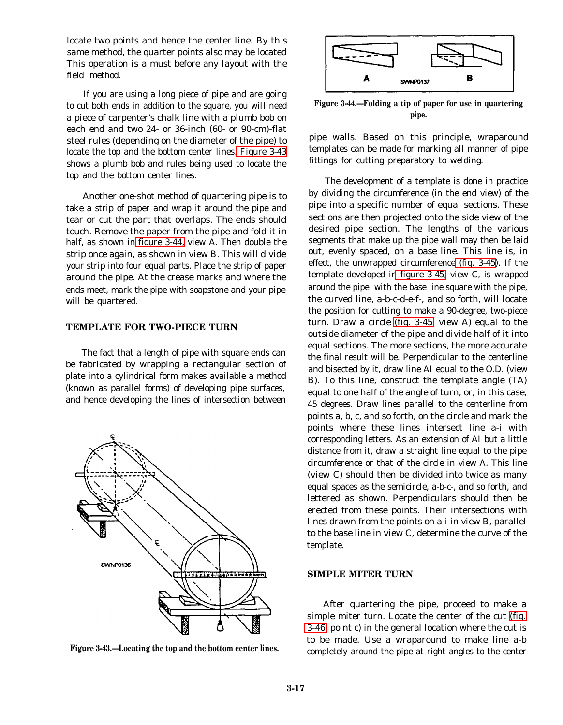locate two points and hence the center line. By this same method, the quarter points also may be located This operation is a must before any layout with the field method.

If you are using a long piece of pipe and are going to cut both ends in addition to the square, you will need a piece of carpenter's chalk line with a plumb bob on each end and two 24- or 36-inch (60- or 90-cm)-flat steel rules (depending on the diameter of the pipe) to locate the top and the bottom center lines. Figure 3-43 shows a plumb bob and rules being used to locate the top and the bottom center lines.

Another one-shot method of quartering pipe is to take a strip of paper and wrap it around the pipe and tear or cut the part that overlaps. The ends should touch. Remove the paper from the pipe and fold it in half, as shown in figure 3-44, view A. Then double the strip once again, as shown in view B. This will divide your strip into four equal parts. Place the strip of paper around the pipe. At the crease marks and where the ends meet, mark the pipe with soapstone and your pipe will be quartered.

#### **TEMPLATE FOR TWO-PIECE TURN**

The fact that a length of pipe with square ends can be fabricated by wrapping a rectangular section of plate into a cylindrical form makes available a method (known as parallel forms) of developing pipe surfaces, and hence developing the lines of intersection between



**Figure 3-43.—Locating the top and the bottom center lines.**



**Figure 3-44.—Folding a tip of paper for use in quartering pipe.**

pipe walls. Based on this principle, wraparound templates can be made for marking all manner of pipe fittings for cutting preparatory to welding.

The development of a template is done in practice by dividing the circumference (in the end view) of the pipe into a specific number of equal sections. These sections are then projected onto the side view of the desired pipe section. The lengths of the various segments that make up the pipe wall may then be laid out, evenly spaced, on a base line. This line is, in effect, the unwrapped circumference [\(fig. 3-45\)](#page-17-0). If the template developed i[n figure 3-45,](#page-17-0) view C, is wrapped around the pipe with the base line square with the pipe, the curved line, a-b-c-d-e-f-, and so forth, will locate the position for cutting to make a 90-degree, two-piece turn. Draw a circle [\(fig. 3-45,](#page-17-0) view A) equal to the outside diameter of the pipe and divide half of it into equal sections. The more sections, the more accurate the final result will be. Perpendicular to the centerline and bisected by it, draw line AI equal to the O.D. (view B). To this line, construct the template angle (TA) equal to one half of the angle of turn, or, in this case, 45 degrees. Draw lines parallel to the centerline from points a, b, c, and so forth, on the circle and mark the points where these lines intersect line a-i with corresponding letters. As an extension of AI but a little distance from it, draw a straight line equal to the pipe circumference or that of the circle in view A. This line (view C) should then be divided into twice as many equal spaces as the semicircle, a-b-c-, and so forth, and lettered as shown. Perpendiculars should then be erected from these points. Their intersections with lines drawn from the points on a-i in view B, parallel to the base line in view C, determine the curve of the template.

# **SIMPLE MITER TURN**

After quartering the pipe, proceed to make a simple miter turn. Locate the center of the cut [\(fig.](#page-17-0) [3-46,](#page-17-0) point c) in the general location where the cut is to be made. Use a wraparound to make line a-b completely around the pipe at right angles to the center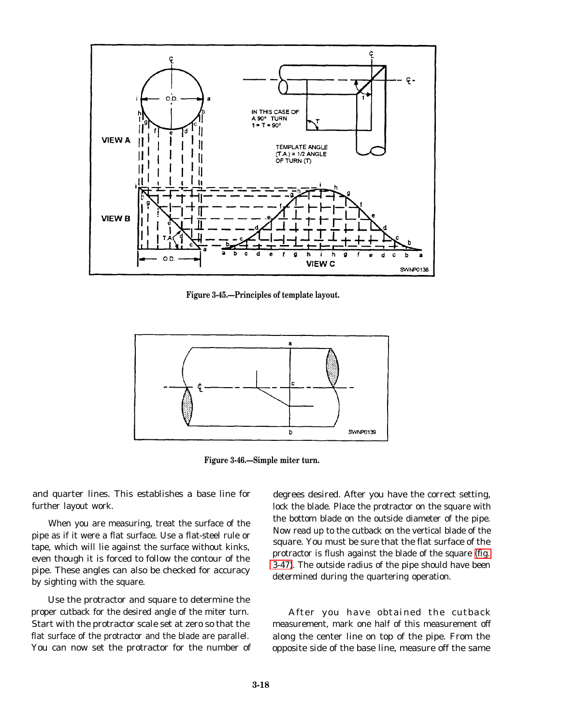<span id="page-17-0"></span>

**Figure 3-45.—Principles of template layout.**



**Figure 3-46.—Simple miter turn.**

and quarter lines. This establishes a base line for degrees desired. After you have the correct setting, further layout work.

When you are measuring, treat the surface of the pipe as if it were a flat surface. Use a flat-steel rule or tape, which will lie against the surface without kinks, even though it is forced to follow the contour of the pipe. These angles can also be checked for accuracy by sighting with the square.

Use the protractor and square to determine the proper cutback for the desired angle of the miter turn. Start with the protractor scale set at zero so that the flat surface of the protractor and the blade are parallel. You can now set the protractor for the number of lock the blade. Place the protractor on the square with the bottom blade on the outside diameter of the pipe. Now read up to the cutback on the vertical blade of the square. You must be sure that the flat surface of the protractor is flush against the blade of the square [\(fig.](#page-18-0) [3-47\)](#page-18-0). The outside radius of the pipe should have been determined during the quartering operation.

After you have obtained the cutback measurement, mark one half of this measurement off along the center line on top of the pipe. From the opposite side of the base line, measure off the same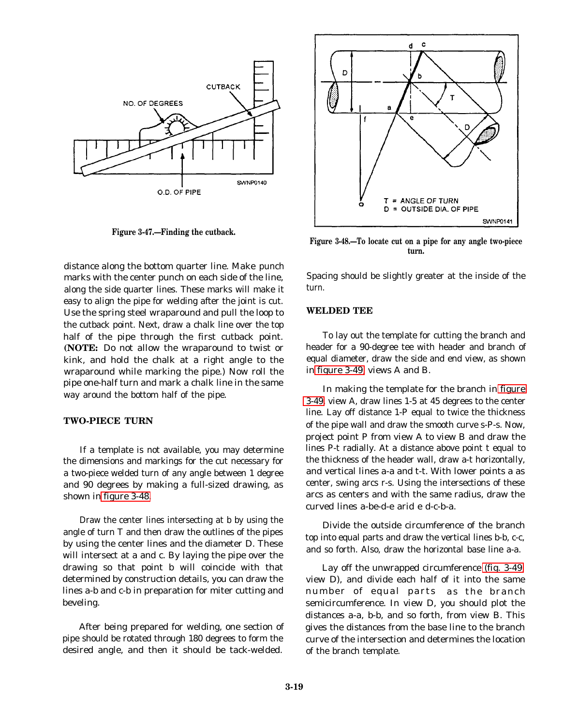<span id="page-18-0"></span>

**Figure 3-47.—Finding the cutback.**

distance along the bottom quarter line. Make punch marks with the center punch on each side of the line, along the side quarter lines. These marks will make it easy to align the pipe for welding after the joint is cut. Use the spring steel wraparound and pull the loop to the cutback point. Next, draw a chalk line over the top half of the pipe through the first cutback point. **(NOTE:** Do not allow the wraparound to twist or kink, and hold the chalk at a right angle to the wraparound while marking the pipe.) Now roll the pipe one-half turn and mark a chalk line in the same way around the bottom half of the pipe.

#### **TWO-PIECE TURN**

If a template is not available, you may determine the dimensions and markings for the cut necessary for a two-piece welded turn of any angle between 1 degree and 90 degrees by making a full-sized drawing, as shown in figure 3-48.

Draw the center lines intersecting at b by using the angle of turn T and then draw the outlines of the pipes by using the center lines and the diameter D. These will intersect at a and c. By laying the pipe over the drawing so that point b will coincide with that determined by construction details, you can draw the lines a-b and c-b in preparation for miter cutting and beveling.

After being prepared for welding, one section of pipe should be rotated through 180 degrees to form the desired angle, and then it should be tack-welded.



**Figure 3-48.—To locate cut on a pipe for any angle two-piece turn.**

Spacing should be slightly greater at the inside of the turn.

#### **WELDED TEE**

To lay out the template for cutting the branch and header for a 90-degree tee with header and branch of equal diameter, draw the side and end view, as shown in [figure 3-49,](#page-19-0) views A and B.

In making the template for the branch in [figure](#page-19-0) [3-49,](#page-19-0) view A, draw lines 1-5 at 45 degrees to the center line. Lay off distance 1-P equal to twice the thickness of the pipe wall and draw the smooth curve s-P-s. Now, project point P from view A to view B and draw the lines P-t radially. At a distance above point t equal to the thickness of the header wall, draw a-t horizontally, and vertical lines a-a and t-t. With lower points a as center, swing arcs r-s. Using the intersections of these arcs as centers and with the same radius, draw the curved lines a-be-d-e arid e d-c-b-a.

Divide the outside circumference of the branch top into equal parts and draw the vertical lines b-b, c-c, and so forth. Also, draw the horizontal base line a-a.

Lay off the unwrapped circumference [\(fig. 3-49,](#page-19-0) view D), and divide each half of it into the same number of equal parts as the branch semicircumference. In view D, you should plot the distances a-a, b-b, and so forth, from view B. This gives the distances from the base line to the branch curve of the intersection and determines the location of the branch template.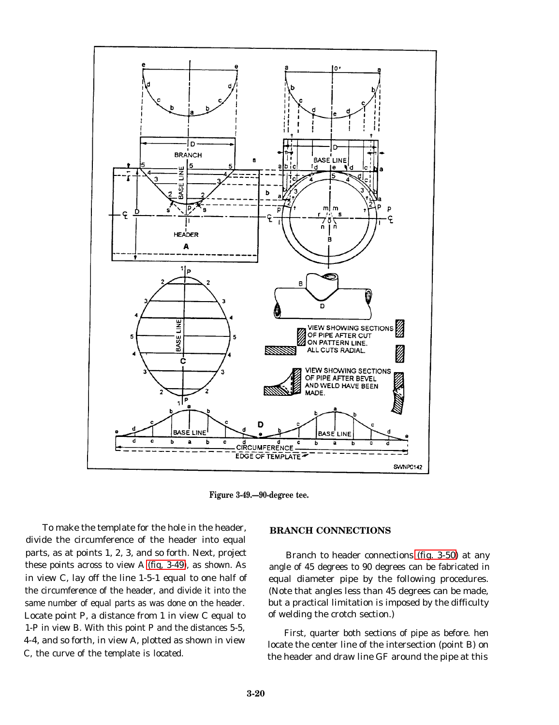<span id="page-19-0"></span>

**Figure 3-49.—90-degree tee.**

To make the template for the hole in the header, **BRANCH CONNECTIONS** divide the circumference of the header into equal parts, as at points 1, 2, 3, and so forth. Next, project these points across to view A (fig, 3-49), as shown. As in view C, lay off the line 1-5-1 equal to one half of the circumference of the header, and divide it into the same number of equal parts as was done on the header. Locate point P, a distance from 1 in view C equal to 1-P in view B. With this point P and the distances 5-5, 4-4, and so forth, in view A, plotted as shown in view C, the curve of the template is located.

Branch to header connections [\(fig. 3-50\)](#page-20-0) at any angle of 45 degrees to 90 degrees can be fabricated in equal diameter pipe by the following procedures. (Note that angles less than 45 degrees can be made, but a practical limitation is imposed by the difficulty of welding the crotch section.)

First, quarter both sections of pipe as before. hen locate the center line of the intersection (point B) on the header and draw line GF around the pipe at this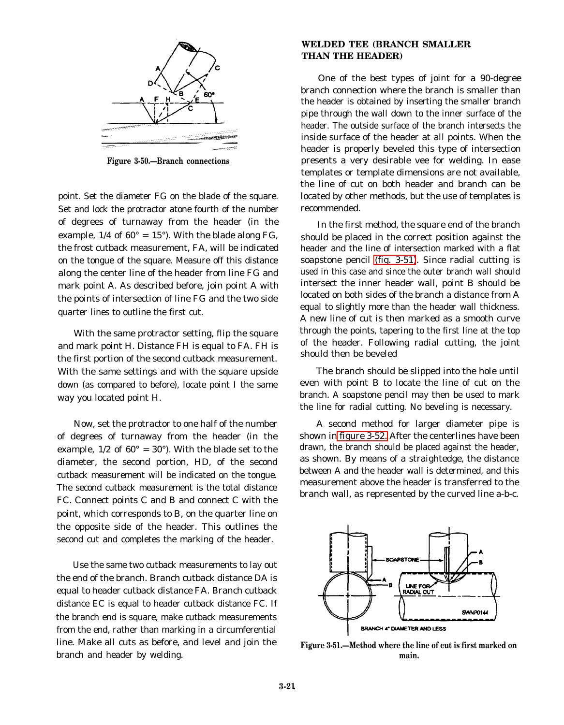<span id="page-20-0"></span>

**Figure 3-50.—Branch connections**

point. Set the diameter FG on the blade of the square. Set and lock the protractor atone fourth of the number of degrees of turnaway from the header (in the example,  $1/4$  of  $60^{\circ} = 15^{\circ}$ ). With the blade along FG, the frost cutback measurement, FA, will be indicated on the tongue of the square. Measure off this distance along the center line of the header from line FG and mark point A. As described before, join point A with the points of intersection of line FG and the two side quarter lines to outline the first cut.

With the same protractor setting, flip the square and mark point H. Distance FH is equal to FA. FH is the first portion of the second cutback measurement. With the same settings and with the square upside down (as compared to before), locate point I the same way you located point H.

Now, set the protractor to one half of the number of degrees of turnaway from the header (in the example,  $1/2$  of  $60^{\circ} = 30^{\circ}$ ). With the blade set to the diameter, the second portion, HD, of the second cutback measurement will be indicated on the tongue. The second cutback measurement is the total distance FC. Connect points C and B and connect C with the point, which corresponds to B, on the quarter line on the opposite side of the header. This outlines the second cut and completes the marking of the header.

Use the same two cutback measurements to lay out the end of the branch. Branch cutback distance DA is equal to header cutback distance FA. Branch cutback distance EC is equal to header cutback distance FC. If the branch end is square, make cutback measurements from the end, rather than marking in a circumferential line. Make all cuts as before, and level and join the branch and header by welding.

# **WELDED TEE (BRANCH SMALLER THAN THE HEADER)**

One of the best types of joint for a 90-degree branch connection where the branch is smaller than the header is obtained by inserting the smaller branch pipe through the wall down to the inner surface of the header. The outside surface of the branch intersects the inside surface of the header at all points. When the header is properly beveled this type of intersection presents a very desirable vee for welding. In ease templates or template dimensions are not available, the line of cut on both header and branch can be located by other methods, but the use of templates is recommended.

In the first method, the square end of the branch should be placed in the correct position against the header and the line of intersection marked with a flat soapstone pencil (fig. 3-51). Since radial cutting is used in this case and since the outer branch wall should intersect the inner header wall, point B should be located on both sides of the branch a distance from A equal to slightly more than the header wall thickness. A new line of cut is then marked as a smooth curve through the points, tapering to the first line at the top of the header. Following radial cutting, the joint should then be beveled

The branch should be slipped into the hole until even with point B to locate the line of cut on the branch. A soapstone pencil may then be used to mark the line for radial cutting. No beveling is necessary.

A second method for larger diameter pipe is shown in [figure 3-52.](#page-21-0) After the centerlines have been drawn, the branch should be placed against the header, as shown. By means of a straightedge, the distance between A and the header wall is determined, and this measurement above the header is transferred to the branch wall, as represented by the curved line a-b-c.



**Figure 3-51.—Method where the line of cut is first marked on main.**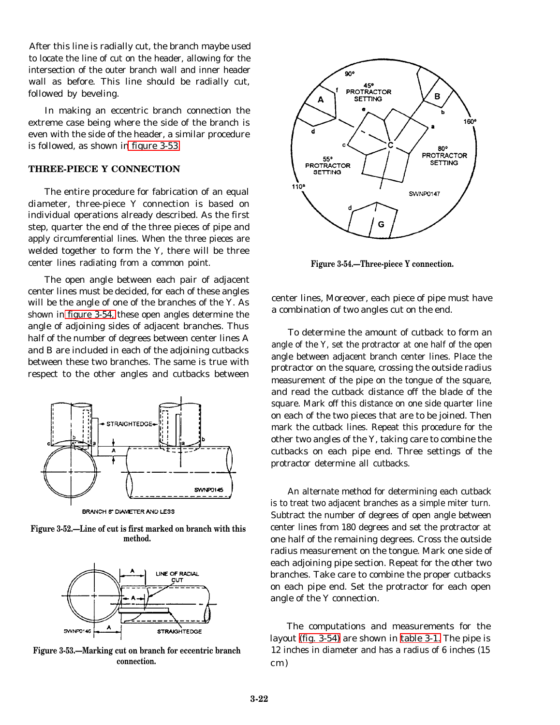<span id="page-21-0"></span>After this line is radially cut, the branch maybe used to locate the line of cut on the header, allowing for the intersection of the outer branch wall and inner header wall as before. This line should be radially cut, followed by beveling.

In making an eccentric branch connection the extreme case being where the side of the branch is even with the side of the header, a similar procedure is followed, as shown in figure 3-53.

# **THREE-PIECE Y CONNECTION**

The entire procedure for fabrication of an equal diameter, three-piece Y connection is based on individual operations already described. As the first step, quarter the end of the three pieces of pipe and apply circumferential lines. When the three pieces are welded together to form the Y, there will be three center lines radiating from a common point.

The open angle between each pair of adjacent center lines must be decided, for each of these angles will be the angle of one of the branches of the Y. As shown in figure 3-54, these open angles determine the angle of adjoining sides of adjacent branches. Thus half of the number of degrees between center lines A and B are included in each of the adjoining cutbacks between these two branches. The same is true with respect to the other angles and cutbacks between



**BRANCH 5" DIAMETER AND LESS** 

**Figure 3-52.—Line of cut is first marked on branch with this method.**



**Figure 3-53.—Marking cut on branch for eccentric branch connection.**



**Figure 3-54.—Three-piece Y connection.**

center lines, Moreover, each piece of pipe must have a combination of two angles cut on the end.

To determine the amount of cutback to form an angle of the Y, set the protractor at one half of the open angle between adjacent branch center lines. Place the protractor on the square, crossing the outside radius measurement of the pipe on the tongue of the square, and read the cutback distance off the blade of the square. Mark off this distance on one side quarter line on each of the two pieces that are to be joined. Then mark the cutback lines. Repeat this procedure for the other two angles of the Y, taking care to combine the cutbacks on each pipe end. Three settings of the protractor determine all cutbacks.

An alternate method for determining each cutback is to treat two adjacent branches as a simple miter turn. Subtract the number of degrees of open angle between center lines from 180 degrees and set the protractor at one half of the remaining degrees. Cross the outside radius measurement on the tongue. Mark one side of each adjoining pipe section. Repeat for the other two branches. Take care to combine the proper cutbacks on each pipe end. Set the protractor for each open angle of the Y connection.

The computations and measurements for the layout (fig. 3-54) are shown in [table 3-1.](#page-2-0) The pipe is 12 inches in diameter and has a radius of 6 inches (15 cm)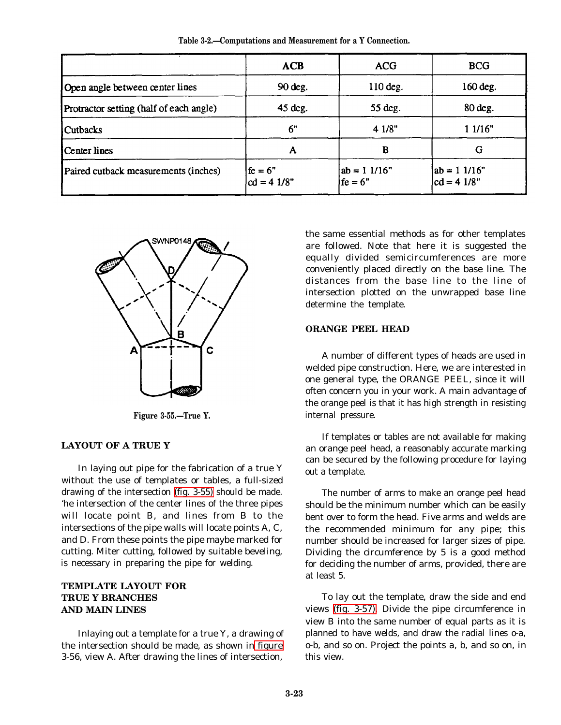**Table 3-2.—Computations and Measurement for a Y Connection.**

|                                         | <b>ACB</b>                | <b>ACG</b>                 | <b>BCG</b>                               |
|-----------------------------------------|---------------------------|----------------------------|------------------------------------------|
| Open angle between center lines         | 90 deg.                   | 110 deg.                   | 160 deg.                                 |
| Protractor setting (half of each angle) | 45 deg.                   | 55 deg.                    | 80 deg.                                  |
| <b>Cutbacks</b>                         | 6"                        | 4 1/8"                     | 1 1/16"                                  |
| Center lines                            | A                         | B                          | G                                        |
| Paired cutback measurements (inches)    | If $= 6"$<br>$cd = 41/8"$ | $ab = 11/16"$<br>$fe = 6"$ | $ab = 11/16"$<br>$ cd = 4 \frac{1}{8}$ " |



**Figure 3-55.—True Y.**

# **LAYOUT OF A TRUE Y**

In laying out pipe for the fabrication of a true Y without the use of templates or tables, a full-sized drawing of the intersection (fig. 3-55) should be made. 'he intersection of the center lines of the three pipes will locate point B, and lines from B to the intersections of the pipe walls will locate points A, C, and D. From these points the pipe maybe marked for cutting. Miter cutting, followed by suitable beveling, is necessary in preparing the pipe for welding.

# **TEMPLATE LAYOUT FOR TRUE Y BRANCHES AND MAIN LINES**

Inlaying out a template for a true Y, a drawing of the intersection should be made, as shown in [figure](#page-23-0) 3-56, view A. After drawing the lines of intersection,

the same essential methods as for other templates are followed. Note that here it is suggested the equally divided semicircumferences are more conveniently placed directly on the base line. The distances from the base line to the line of intersection plotted on the unwrapped base line determine the template.

# **ORANGE PEEL HEAD**

A number of different types of heads are used in welded pipe construction. Here, we are interested in one general type, the ORANGE PEEL, since it will often concern you in your work. A main advantage of the orange peel is that it has high strength in resisting internal pressure.

If templates or tables are not available for making an orange peel head, a reasonably accurate marking can be secured by the following procedure for laying out a template.

The number of arms to make an orange peel head should be the minimum number which can be easily bent over to form the head. Five arms and welds are the recommended minimum for any pipe; this number should be increased for larger sizes of pipe. Dividing the circumference by 5 is a good method for deciding the number of arms, provided, there are at least 5.

To lay out the template, draw the side and end views [\(fig. 3-57\).](#page-24-0) Divide the pipe circumference in view B into the same number of equal parts as it is planned to have welds, and draw the radial lines o-a, o-b, and so on. Project the points a, b, and so on, in this view.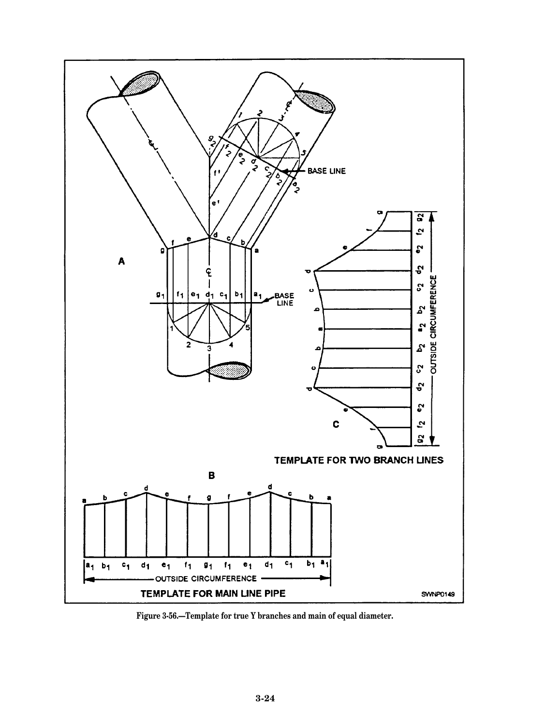<span id="page-23-0"></span>

**Figure 3-56.—Template for true Y branches and main of equal diameter.**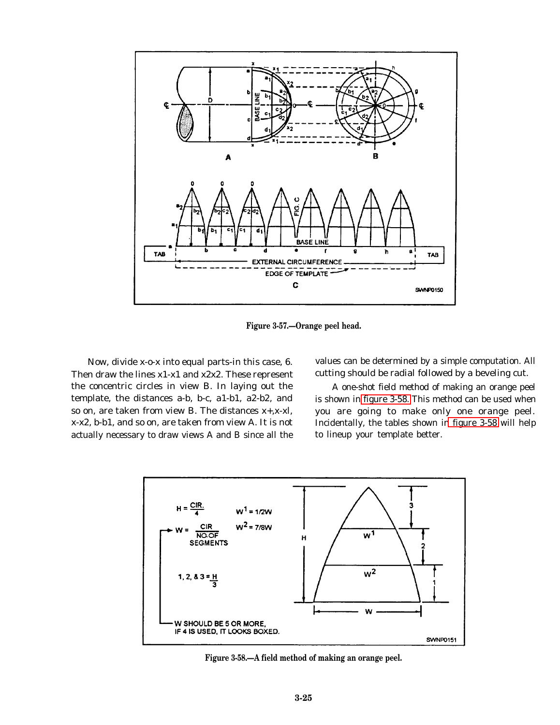<span id="page-24-0"></span>

**Figure 3-57.—Orange peel head.**

Then draw the lines x1-x1 and x2x2. These represent cutting should be radial followed by a beveling cut. the concentric circles in view B. In laying out the A one-shot field method of making an orange peel so on, are taken from view B. The distances x+,x-xl, you are going to make only one orange peel. x-x2, b-b1, and so on, are taken from view A. It is not Incidentally, the tables shown in figure 3-58 will help actually necessary to draw views A and B since all the to lineup your template better.

Now, divide x-o-x into equal parts-in this case, 6. values can be determined by a simple computation. All

template, the distances a-b, b-c, a1-b1, a2-b2, and is shown in figure 3-58. This method can be used when



**Figure 3-58.—A field method of making an orange peel.**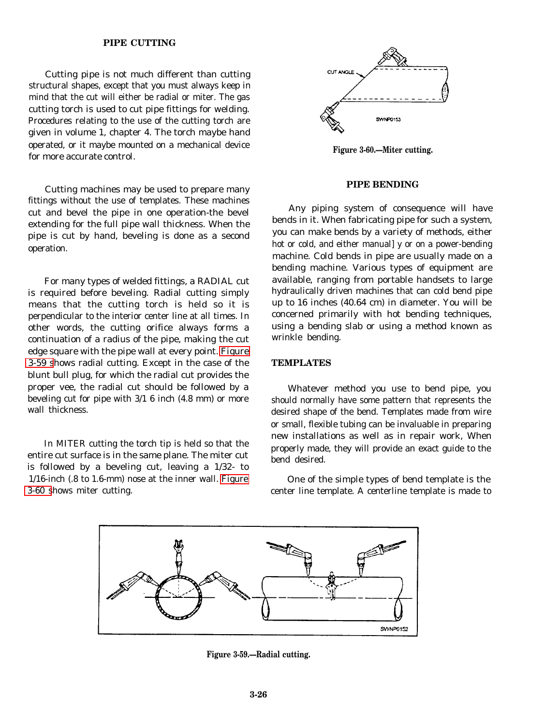# **PIPE CUTTING**

Cutting pipe is not much different than cutting structural shapes, except that you must always keep in mind that the cut will either be radial or miter. The gas cutting torch is used to cut pipe fittings for welding. Procedures relating to the use of the cutting torch are given in volume 1, chapter 4. The torch maybe hand operated, or it maybe mounted on a mechanical device for more accurate control.

Cutting machines may be used to prepare many fittings without the use of templates. These machines cut and bevel the pipe in one operation-the bevel extending for the full pipe wall thickness. When the pipe is cut by hand, beveling is done as a second operation.

For many types of welded fittings, a RADIAL cut is required before beveling. Radial cutting simply means that the cutting torch is held so it is perpendicular to the interior center line at all times. In other words, the cutting orifice always forms a continuation of a radius of the pipe, making the cut edge square with the pipe wall at every point. Figure 3-59 shows radial cutting. Except in the case of the blunt bull plug, for which the radial cut provides the proper vee, the radial cut should be followed by a beveling cut for pipe with 3/1 6 inch (4.8 mm) or more wall thickness.

In MITER cutting the torch tip is held so that the entire cut surface is in the same plane. The miter cut is followed by a beveling cut, leaving a 1/32- to 1/16-inch (.8 to 1.6-mm) nose at the inner wall. Figure 3-60 shows miter cutting.



**Figure 3-60.—Miter cutting.**

### **PIPE BENDING**

Any piping system of consequence will have bends in it. When fabricating pipe for such a system, you can make bends by a variety of methods, either hot or cold, and either manual] y or on a power-bending machine. Cold bends in pipe are usually made on a bending machine. Various types of equipment are available, ranging from portable handsets to large hydraulically driven machines that can cold bend pipe up to 16 inches (40.64 cm) in diameter. You will be concerned primarily with hot bending techniques, using a bending slab or using a method known as wrinkle bending.

# **TEMPLATES**

Whatever method you use to bend pipe, you should normally have some pattern that represents the desired shape of the bend. Templates made from wire or small, flexible tubing can be invaluable in preparing new installations as well as in repair work, When properly made, they will provide an exact guide to the bend desired.

One of the simple types of bend template is the center line template. A centerline template is made to



**Figure 3-59.—Radial cutting.**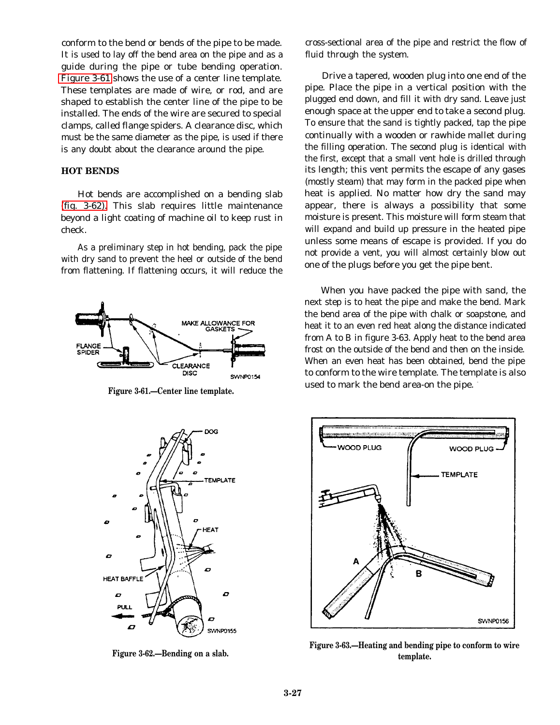conform to the bend or bends of the pipe to be made. It is used to lay off the bend area on the pipe and as a guide during the pipe or tube bending operation. Figure 3-61 shows the use of a center line template. These templates are made of wire, or rod, and are shaped to establish the center line of the pipe to be installed. The ends of the wire are secured to special clamps, called flange spiders. A clearance disc, which must be the same diameter as the pipe, is used if there is any doubt about the clearance around the pipe.

#### **HOT BENDS**

Hot bends are accomplished on a bending slab (fig. 3-62). This slab requires little maintenance beyond a light coating of machine oil to keep rust in check.

As a preliminary step in hot bending, pack the pipe with dry sand to prevent the heel or outside of the bend from flattening. If flattening occurs, it will reduce the



**Figure 3-61.—Center line template.**



**Figure 3-62.—Bending on a slab.**

cross-sectional area of the pipe and restrict the flow of fluid through the system.

Drive a tapered, wooden plug into one end of the pipe. Place the pipe in a vertical position with the plugged end down, and fill it with dry sand. Leave just enough space at the upper end to take a second plug. To ensure that the sand is tightly packed, tap the pipe continually with a wooden or rawhide mallet during the filling operation. The second plug is identical with the first, except that a small vent hole is drilled through its length; this vent permits the escape of any gases (mostly steam) that may form in the packed pipe when heat is applied. No matter how dry the sand may appear, there is always a possibility that some moisture is present. This moisture will form steam that will expand and build up pressure in the heated pipe unless some means of escape is provided. If you do not provide a vent, you will almost certainly blow out one of the plugs before you get the pipe bent.

When you have packed the pipe with sand, the next step is to heat the pipe and make the bend. Mark the bend area of the pipe with chalk or soapstone, and heat it to an even red heat along the distance indicated from A to B in figure 3-63. Apply heat to the bend area frost on the outside of the bend and then on the inside. When an even heat has been obtained, bend the pipe to conform to the wire template. The template is also used to mark the bend area-on the pipe.



**Figure 3-63.—Heating and bending pipe to conform to wire template.**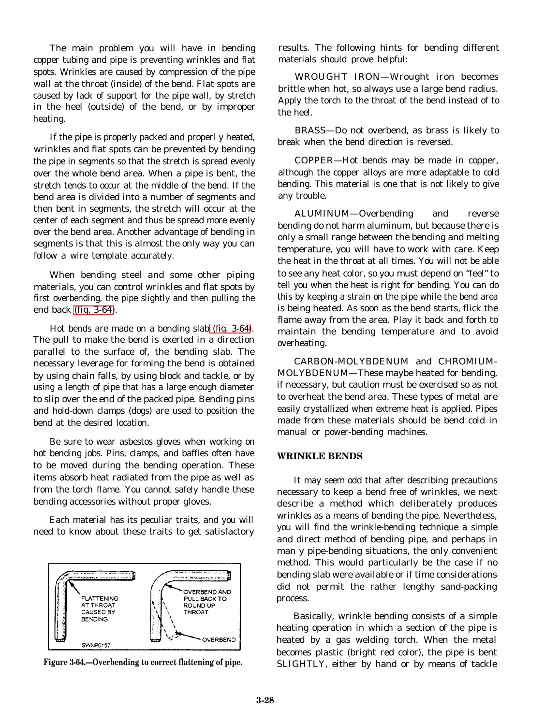The main problem you will have in bending copper tubing and pipe is preventing wrinkles and flat spots. Wrinkles are caused by compression of the pipe wall at the throat (inside) of the bend. Flat spots are caused by lack of support for the pipe wall, by stretch in the heel (outside) of the bend, or by improper heating.

If the pipe is properly packed and properl y heated, wrinkles and flat spots can be prevented by bending the pipe in segments so that the stretch is spread evenly over the whole bend area. When a pipe is bent, the stretch tends to occur at the middle of the bend. If the bend area is divided into a number of segments and then bent in segments, the stretch will occur at the center of each segment and thus be spread more evenly over the bend area. Another advantage of bending in segments is that this is almost the only way you can follow a wire template accurately.

When bending steel and some other piping materials, you can control wrinkles and flat spots by first overbending, the pipe slightly and then pulling the end back (fig. 3-64).

Hot bends are made on a bending slab (fig. 3-64). The pull to make the bend is exerted in a direction parallel to the surface of, the bending slab. The necessary leverage for forming the bend is obtained by using chain falls, by using block and tackle, or by using a length of pipe that has a large enough diameter to slip over the end of the packed pipe. Bending pins and hold-down clamps (dogs) are used to position the bend at the desired location.

Be sure to wear asbestos gloves when working on hot bending jobs. Pins, clamps, and baffles often have to be moved during the bending operation. These items absorb heat radiated from the pipe as well as from the torch flame. You cannot safely handle these bending accessories without proper gloves.

Each material has its peculiar traits, and you will need to know about these traits to get satisfactory



**Figure 3-64.—Overbending to correct flattening of pipe.**

results. The following hints for bending different materials should prove helpful:

WROUGHT IRON—Wrought iron becomes brittle when hot, so always use a large bend radius. Apply the torch to the throat of the bend instead of to the heel.

BRASS—Do not overbend, as brass is likely to break when the bend direction is reversed.

COPPER—Hot bends may be made in copper, although the copper alloys are more adaptable to cold bending. This material is one that is not likely to give any trouble.

ALUMINUM—Overbending and reverse bending do not harm aluminum, but because there is only a small range between the bending and melting temperature, you will have to work with care. Keep the heat in the throat at all times. You will not be able to see any heat color, so you must depend on "feel" to tell you when the heat is right for bending. You can do this by keeping a strain on the pipe while the bend area is being heated. As soon as the bend starts, flick the flame away from the area. Play it back and forth to maintain the bending temperature and to avoid overheating.

CARBON-MOLYBDENUM and CHROMIUM-MOLYBDENUM—These maybe heated for bending, if necessary, but caution must be exercised so as not to overheat the bend area. These types of metal are easily crystallized when extreme heat is applied. Pipes made from these materials should be bend cold in manual or power-bending machines.

#### **WRINKLE BENDS**

It may seem odd that after describing precautions necessary to keep a bend free of wrinkles, we next describe a method which deliberately produces wrinkles as a means of bending the pipe. Nevertheless, you will find the wrinkle-bending technique a simple and direct method of bending pipe, and perhaps in man y pipe-bending situations, the only convenient method. This would particularly be the case if no bending slab were available or if time considerations did not permit the rather lengthy sand-packing process.

Basically, wrinkle bending consists of a simple heating operation in which a section of the pipe is heated by a gas welding torch. When the metal becomes plastic (bright red color), the pipe is bent SLIGHTLY, either by hand or by means of tackle